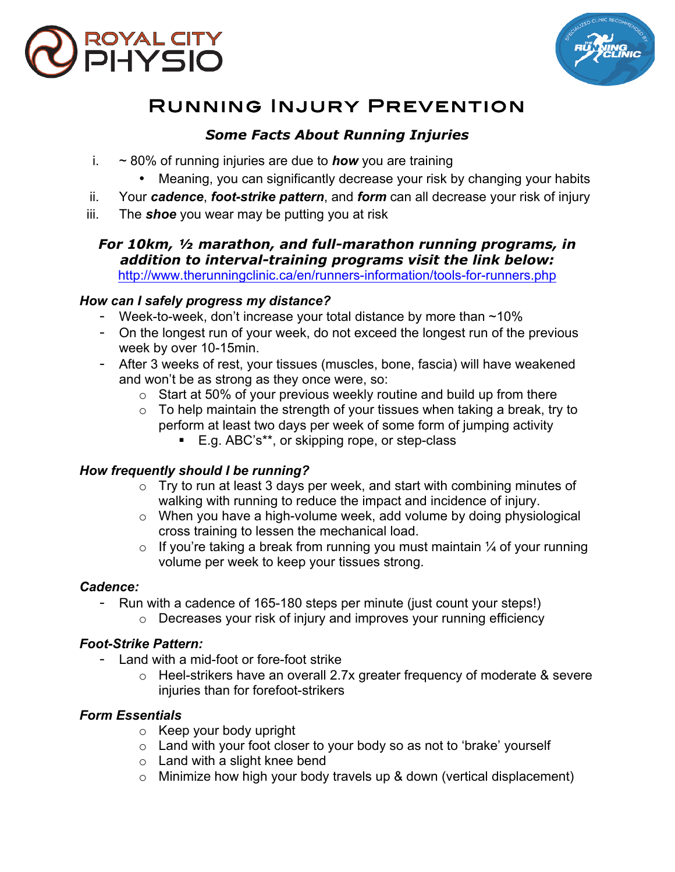



# Running Injury Prevention

# *Some Facts About Running Injuries*

- i. ~ 80% of running injuries are due to *how* you are training
	- Meaning, you can significantly decrease your risk by changing your habits
- ii. Your *cadence*, *foot-strike pattern*, and *form* can all decrease your risk of injury
- iii. The *shoe* you wear may be putting you at risk

#### *For 10km, ½ marathon, and full-marathon running programs, in addition to interval-training programs visit the link below:* http://www.therunningclinic.ca/en/runners-information/tools-for-runners.php

#### *How can I safely progress my distance?*

- Week-to-week, don't increase your total distance by more than  $\sim$ 10%
- On the longest run of your week, do not exceed the longest run of the previous week by over 10-15min.
- After 3 weeks of rest, your tissues (muscles, bone, fascia) will have weakened and won't be as strong as they once were, so:
	- $\circ$  Start at 50% of your previous weekly routine and build up from there
	- $\circ$  To help maintain the strength of your tissues when taking a break, try to perform at least two days per week of some form of jumping activity
		- E.g. ABC's\*\*, or skipping rope, or step-class

## *How frequently should I be running?*

- $\circ$  Try to run at least 3 days per week, and start with combining minutes of walking with running to reduce the impact and incidence of injury.
- o When you have a high-volume week, add volume by doing physiological cross training to lessen the mechanical load.
- $\circ$  If you're taking a break from running you must maintain  $\frac{1}{4}$  of your running volume per week to keep your tissues strong.

#### *Cadence:*

- Run with a cadence of 165-180 steps per minute (just count your steps!)
	- o Decreases your risk of injury and improves your running efficiency

## *Foot-Strike Pattern:*

- Land with a mid-foot or fore-foot strike
	- o Heel-strikers have an overall 2.7x greater frequency of moderate & severe injuries than for forefoot-strikers

## *Form Essentials*

- o Keep your body upright
- o Land with your foot closer to your body so as not to 'brake' yourself
- $\circ$  Land with a slight knee bend
- $\circ$  Minimize how high your body travels up & down (vertical displacement)